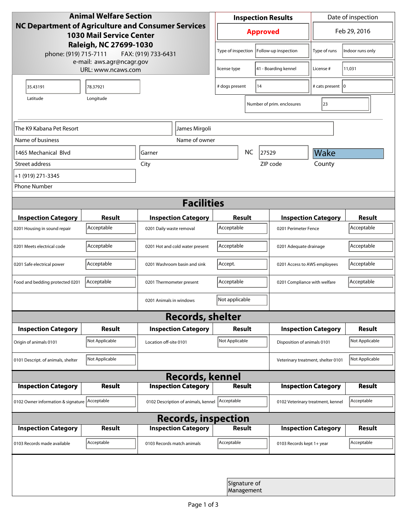| <b>Animal Welfare Section</b><br>NC Department of Agriculture and Consumer Services<br><b>1030 Mail Service Center</b><br>Raleigh, NC 27699-1030<br>phone: (919) 715-7111<br>FAX: (919) 733-6431<br>e-mail: aws.agr@ncagr.gov |                    |                                      | <b>Inspection Results</b>                  |                            |                                    | Date of inspection          |                  |  |
|-------------------------------------------------------------------------------------------------------------------------------------------------------------------------------------------------------------------------------|--------------------|--------------------------------------|--------------------------------------------|----------------------------|------------------------------------|-----------------------------|------------------|--|
|                                                                                                                                                                                                                               |                    |                                      | <b>Approved</b>                            |                            |                                    | Feb 29, 2016                |                  |  |
|                                                                                                                                                                                                                               |                    |                                      | Type of inspection                         |                            | Follow-up inspection               | Type of runs                | Indoor runs only |  |
|                                                                                                                                                                                                                               | URL: www.ncaws.com | 41 - Boarding kennel<br>license type |                                            |                            | License #                          | 11,031                      |                  |  |
| 35.43191                                                                                                                                                                                                                      | 78.37921           |                                      | 14<br># dogs present                       |                            |                                    | # cats present   0          |                  |  |
| Latitude                                                                                                                                                                                                                      | Longitude          |                                      |                                            |                            | Number of prim. enclosures         | 23                          |                  |  |
| The K9 Kabana Pet Resort                                                                                                                                                                                                      |                    | James Mirgoli                        |                                            |                            |                                    |                             |                  |  |
| Name of business                                                                                                                                                                                                              |                    | Name of owner                        |                                            |                            |                                    |                             |                  |  |
| 1465 Mechanical Blyd                                                                                                                                                                                                          |                    | Garner                               |                                            | <b>NC</b>                  | 27529                              | Wake                        |                  |  |
| Street address                                                                                                                                                                                                                |                    | City                                 |                                            |                            | ZIP code                           | County                      |                  |  |
| +1 (919) 271-3345                                                                                                                                                                                                             |                    |                                      |                                            |                            |                                    |                             |                  |  |
| <b>Phone Number</b>                                                                                                                                                                                                           |                    |                                      |                                            |                            |                                    |                             |                  |  |
| <b>Facilities</b>                                                                                                                                                                                                             |                    |                                      |                                            |                            |                                    |                             |                  |  |
| <b>Inspection Category</b>                                                                                                                                                                                                    | <b>Result</b>      | <b>Inspection Category</b>           | Result                                     |                            | <b>Inspection Category</b>         |                             | <b>Result</b>    |  |
| 0201 Housing in sound repair                                                                                                                                                                                                  | Acceptable         | 0201 Daily waste removal             | Acceptable<br>0201 Perimeter Fence         |                            |                                    | Acceptable                  |                  |  |
| 0201 Meets electrical code                                                                                                                                                                                                    | Acceptable         | 0201 Hot and cold water present      | Acceptable                                 |                            | 0201 Adequate drainage             |                             | Acceptable       |  |
| 0201 Safe electrical power                                                                                                                                                                                                    | Acceptable         | 0201 Washroom basin and sink         | Accept.<br>0201 Access to AWS employees    |                            |                                    | Acceptable                  |                  |  |
| Food and bedding protected 0201                                                                                                                                                                                               | Acceptable         | 0201 Thermometer present             | Acceptable<br>0201 Compliance with welfare |                            |                                    | Acceptable                  |                  |  |
|                                                                                                                                                                                                                               |                    | 0201 Animals in windows              | Not applicable                             |                            |                                    |                             |                  |  |
| <b>Records, shelter</b>                                                                                                                                                                                                       |                    |                                      |                                            |                            |                                    |                             |                  |  |
| <b>Inspection Category</b>                                                                                                                                                                                                    | Result             | <b>Inspection Category</b>           | <b>Result</b>                              |                            |                                    | <b>Inspection Category</b>  | <b>Result</b>    |  |
| Origin of animals 0101                                                                                                                                                                                                        | Not Applicable     | Location off-site 0101               | Not Applicable                             |                            |                                    | Disposition of animals 0101 |                  |  |
| 0101 Descript. of animals, shelter                                                                                                                                                                                            | Not Applicable     |                                      |                                            |                            | Veterinary treatment, shelter 0101 |                             | Not Applicable   |  |
| <b>Records, kennel</b>                                                                                                                                                                                                        |                    |                                      |                                            |                            |                                    |                             |                  |  |
| <b>Inspection Category</b>                                                                                                                                                                                                    | <b>Result</b>      | <b>Inspection Category</b>           | <b>Result</b>                              |                            |                                    | <b>Inspection Category</b>  | <b>Result</b>    |  |
| 0102 Owner information & signature Acceptable                                                                                                                                                                                 |                    | 0102 Description of animals, kennel  | Acceptable                                 |                            | 0102 Veterinary treatment, kennel  |                             | Acceptable       |  |
| <b>Records, inspection</b>                                                                                                                                                                                                    |                    |                                      |                                            |                            |                                    |                             |                  |  |
| <b>Inspection Category</b>                                                                                                                                                                                                    | <b>Result</b>      | <b>Inspection Category</b>           | Result                                     |                            |                                    | <b>Inspection Category</b>  | <b>Result</b>    |  |
| 0103 Records made available                                                                                                                                                                                                   | Acceptable         | 0103 Records match animals           | Acceptable                                 |                            | 0103 Records kept 1+ year          |                             | Acceptable       |  |
|                                                                                                                                                                                                                               |                    |                                      |                                            |                            |                                    |                             |                  |  |
|                                                                                                                                                                                                                               |                    |                                      |                                            | Signature of<br>Management |                                    |                             |                  |  |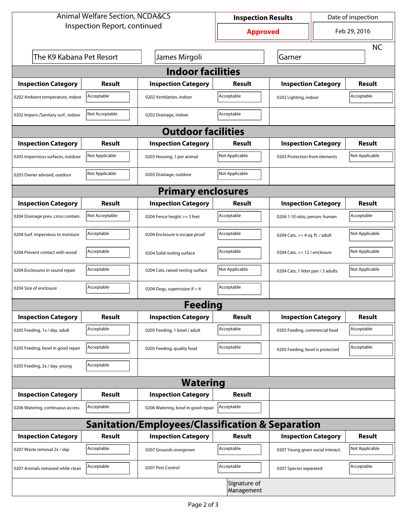| <b>Animal Welfare Section, NCDA&amp;CS</b> |                |                                                  | <b>Inspection Results</b>  |                                     | Date of inspection             |                |  |  |
|--------------------------------------------|----------------|--------------------------------------------------|----------------------------|-------------------------------------|--------------------------------|----------------|--|--|
| Inspection Report, continued               |                |                                                  | <b>Approved</b>            |                                     | Feb 29, 2016                   |                |  |  |
|                                            |                |                                                  |                            |                                     |                                | <b>NC</b>      |  |  |
| The K9 Kabana Pet Resort                   |                | James Mirgoli                                    |                            | Garner                              |                                |                |  |  |
| <b>Indoor facilities</b>                   |                |                                                  |                            |                                     |                                |                |  |  |
| <b>Inspection Category</b>                 | Result         | <b>Inspection Category</b>                       | Result                     | <b>Inspection Category</b>          |                                | <b>Result</b>  |  |  |
| 0202 Ambient temperature, indoor           | Acceptable     | 0202 Ventilation, indoor                         | Acceptable                 | Acceptable<br>0202 Lighting, indoor |                                |                |  |  |
| 0202 Imperv./Sanitary surf., indoor        | Not Acceptable | 0202 Drainage, indoor                            | Acceptable                 |                                     |                                |                |  |  |
|                                            |                | <b>Outdoor facilities</b>                        |                            |                                     |                                |                |  |  |
| <b>Inspection Category</b>                 | Result         | <b>Inspection Category</b>                       | Result                     | <b>Inspection Category</b>          |                                | Result         |  |  |
| 0203 Impervious surfaces, outdoor          | Not Applicable | 0203 Housing, 1 per animal                       | Not Applicable             | 0203 Protection from elements       |                                | Not Applicable |  |  |
| 0203 Owner advised, outdoor                | Not Applicable | 0203 Drainage, outdoor                           | Not Applicable             |                                     |                                |                |  |  |
|                                            |                | <b>Primary enclosures</b>                        |                            |                                     |                                |                |  |  |
| <b>Inspection Category</b>                 | Result         | <b>Inspection Category</b>                       | Result                     | <b>Inspection Category</b>          |                                | Result         |  |  |
| 0204 Drainage prev. cross contam.          | Not Acceptable | 0204 Fence height >= 5 feet                      | Acceptable                 |                                     | 0204 1:10 ratio, person: human |                |  |  |
| 0204 Surf. impervious to moisture          | Acceptable     | 0204 Enclosure is escape proof                   | Acceptable                 | 0204 Cats, $>=$ 4 sq. ft. / adult   |                                | Not Applicable |  |  |
| 0204 Prevent contact with wood             | Acceptable     | 0204 Solid resting surface                       | Acceptable                 | 0204 Cats, $<= 12$ / enclosure      |                                | Not Applicable |  |  |
| 0204 Enclosures in sound repair            | Acceptable     | 0204 Cats, raised resting surface                | Not Applicable             | 0204 Cats, 1 litter pan / 3 adults  |                                | Not Applicable |  |  |
| 0204 Size of enclosure                     | Acceptable     | 0204 Dogs, supervision if > 4                    | Acceptable                 |                                     |                                |                |  |  |
|                                            |                | <b>Feeding</b>                                   |                            |                                     |                                |                |  |  |
| <b>Inspection Category</b>                 | Result         | <b>Inspection Category</b>                       | Result                     | <b>Inspection Category</b>          |                                | Result         |  |  |
| 0205 Feeding, 1x / day, adult              | Acceptable     | 0205 Feeding, 1 bowl / adult                     | Acceptable                 | 0205 Feeding, commercial food       |                                | Acceptable     |  |  |
| 0205 Feeding, bowl in good repair          | Acceptable     | 0205 Feeding, quality food                       | Acceptable                 | 0205 Feeding, bowl is protected     |                                | Acceptable     |  |  |
| 0205 Feeding, 2x / day, young              | Acceptable     |                                                  |                            |                                     |                                |                |  |  |
|                                            |                | <b>Watering</b>                                  |                            |                                     |                                |                |  |  |
| <b>Inspection Category</b>                 | <b>Result</b>  | <b>Inspection Category</b>                       | Result                     |                                     |                                |                |  |  |
| 0206 Watering, continuous access           | Acceptable     | 0206 Watering, bowl in good repair               | Acceptable                 |                                     |                                |                |  |  |
|                                            |                | Sanitation/Employees/Classification & Separation |                            |                                     |                                |                |  |  |
| <b>Inspection Category</b>                 | <b>Result</b>  | <b>Inspection Category</b>                       | Result                     | <b>Inspection Category</b>          |                                | Result         |  |  |
| 0207 Waste removal 2x / day                | Acceptable     | 0207 Grounds overgrown                           | Acceptable                 | 0207 Young given social interact.   |                                | Not Applicable |  |  |
| 0207 Animals removed while clean           | Acceptable     | 0207 Pest Control                                | Acceptable                 | 0207 Species separated              |                                | Acceptable     |  |  |
|                                            |                |                                                  | Signature of<br>Management |                                     |                                |                |  |  |